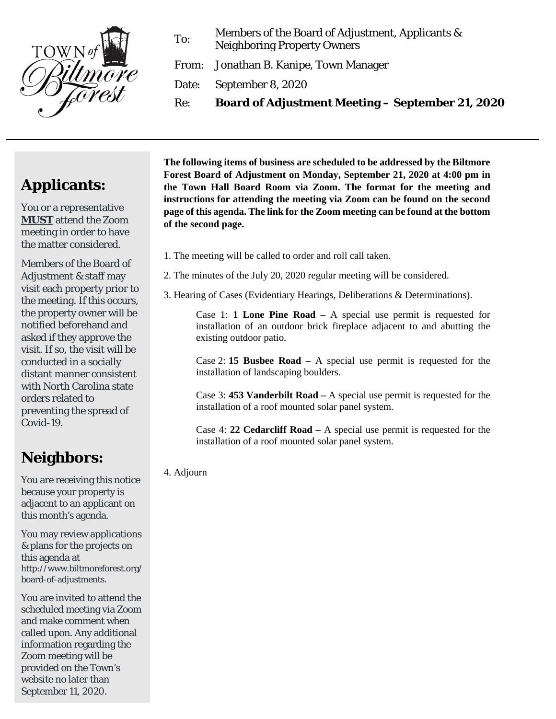

To: Members of the Board of Adjustment, Applicants & Neighboring Property Owners

From: Jonathan B. Kanipe, Town Manager

Date: September 8, 2020

Re: **Board of Adjustment Meeting – September 21, 2020**

## **Applicants:**

You or a representative **MUST** attend the Zoom meeting in order to have the matter considered.

Members of the Board of Adjustment & staff may visit each property prior to the meeting. If this occurs, the property owner will be notified beforehand and asked if they approve the visit. If so, the visit will be conducted in a socially distant manner consistent with North Carolina state orders related to preventing the spread of Covid-19.

## **Neighbors:**

You are receiving this notice because your property is adjacent to an applicant on this month's agenda.

You may review applications & plans for the projects on this agenda at http://www.biltmoreforest.org/ board-of-adjustments.

You are invited to attend the scheduled meeting via Zoom and make comment when called upon. Any additional information regarding the Zoom meeting will be provided on the Town's website no later than September 11, 2020.

**The following items of business are scheduled to be addressed by the Biltmore Forest Board of Adjustment on Monday, September 21, 2020 at 4:00 pm in the Town Hall Board Room via Zoom. The format for the meeting and instructions for attending the meeting via Zoom can be found on the second page of this agenda. The link for the Zoom meeting can be found at the bottom of the second page.**

- 1. The meeting will be called to order and roll call taken.
- 2. The minutes of the July 20, 2020 regular meeting will be considered.
- 3. Hearing of Cases (Evidentiary Hearings, Deliberations & Determinations).

Case 1: **1 Lone Pine Road –** A special use permit is requested for installation of an outdoor brick fireplace adjacent to and abutting the existing outdoor patio.

Case 2: **15 Busbee Road –** A special use permit is requested for the installation of landscaping boulders.

Case 3: **453 Vanderbilt Road –** A special use permit is requested for the installation of a roof mounted solar panel system.

Case 4: **22 Cedarcliff Road –** A special use permit is requested for the installation of a roof mounted solar panel system.

4. Adjourn